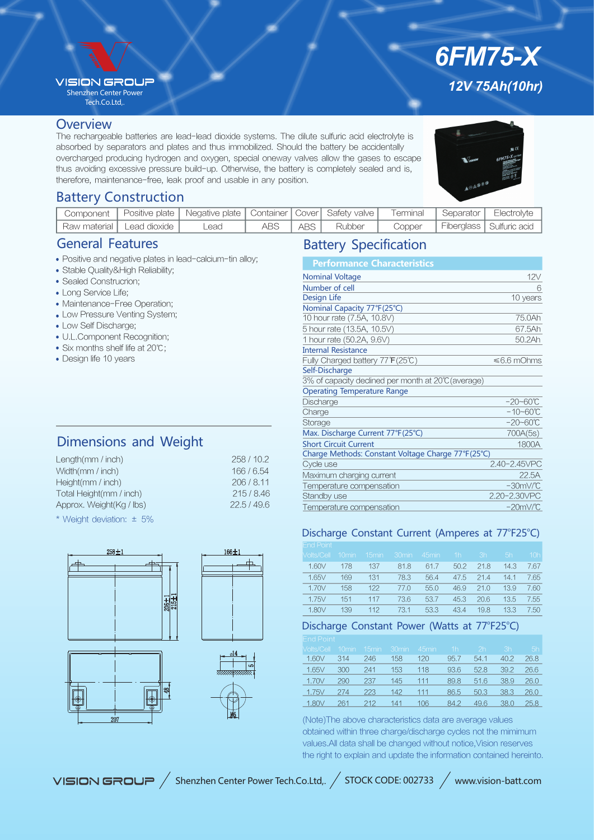## **VISION GROUR**

Shenzhen Center Power Tech.Co.Ltd,.

## **Overview**

The rechargeable batteries are lead-lead dioxide systems. The dilute sulfuric acid electrolyte is absorbed by separators and plates and thus immobilized. Should the battery be accidentally overcharged producing hydrogen and oxygen, special oneway valves allow the gases to escape thus avoiding excessive pressure build-up. Otherwise, the battery is completely sealed and is, therefore, maintenance-free, leak proof and usable in any position.

*12V 75Ah(10hr)*

*6FM75-X*

# Battery Construction

| Component |                             | Positive plate   Negative plate   Container   Cover   Safety valve   Terminal |      |       |        | l Separator <sub>l</sub> | Electrolyte                         |
|-----------|-----------------------------|-------------------------------------------------------------------------------|------|-------|--------|--------------------------|-------------------------------------|
|           | Raw material   Lead dioxide | _ead                                                                          | ABS. | ABS I | Rubber |                          | Copper   Fiberglass   Sulfuric acid |

# General Features

- Positive and negative plates in lead-calcium-tin alloy;
- Stable Quality&High Reliability;
- Sealed Construcrion;
- Long Service Life;
- Maintenance-Free Operation;
- Low Pressure Venting System;
- Low Self Discharge;
- U.L.Component Recognition;
- Six months shelf life at 20°C;
- Design life 10 years

# Dimensions and Weight

| Length $(mm / inch)$     | 258/10.2  |
|--------------------------|-----------|
| Width(mm / inch)         | 166/6.54  |
| Height(mm / inch)        | 206/8.11  |
| Total Height(mm / inch)  | 215/8.46  |
| Approx. Weight(Kg / lbs) | 22.5/49.6 |
|                          |           |

\* Weight deviation: ± 5%







# Battery Specification

| <b>Performance Characteristics</b>                  |                      |
|-----------------------------------------------------|----------------------|
| <b>Nominal Voltage</b>                              | 12V                  |
| Number of cell                                      | 6                    |
| Design Life                                         | 10 years             |
| Nominal Capacity 77°F(25°C)                         |                      |
| 10 hour rate (7.5A, 10.8V)                          | 75.0Ah               |
| 5 hour rate (13.5A, 10.5V)                          | 67.5Ah               |
| 1 hour rate (50.2A, 9.6V)                           | 50.2Ah               |
| <b>Internal Resistance</b>                          |                      |
| Fully Charged battery 77°F(25℃)                     | ≤6.6 mOhms           |
| Self-Discharge                                      |                      |
| 3% of capacity declined per month at 20°C (average) |                      |
| <b>Operating Temperature Range</b>                  |                      |
| Discharge                                           | $-20 - 60^{\circ}C$  |
| Charge                                              | $-10 - 60^{\circ}C$  |
| Storage                                             | $-20 - 60^{\circ}C$  |
| Max. Discharge Current 77°F(25°C)                   | 700A(5s)             |
| <b>Short Circuit Current</b>                        | 1800A                |
| Charge Methods: Constant Voltage Charge 77°F(25°C)  |                      |
| Cycle use                                           | 2.40-2.45VPC         |
| Maximum charging current                            | 22.5A                |
| Temperature compensation                            | $-30mV$ <sup>C</sup> |
| Standby use                                         | 2.20-2.30VPC         |
| Temperature compensation                            | $-20mV$ <sup>C</sup> |

## Discharge Constant Current (Amperes at 77°F25°C)

| <b>End Point</b> |          |                   |                   |                   |      |      |      |                 |
|------------------|----------|-------------------|-------------------|-------------------|------|------|------|-----------------|
| Volts/Cell       | $10$ min | 15 <sub>min</sub> | 30 <sub>min</sub> | 45 <sub>min</sub> | 1h   | 3h   | 5h   | 10 <sub>h</sub> |
| 1.60V            | 178      | 137               | 81.8              | 61.7              | 50.2 | 21.8 | 14.3 | 7.67            |
| 1.65V            | 169      | 131               | 78.3              | 56.4              | 47.5 | 21.4 | 14.1 | 7.65            |
| 1.70V            | 158      | 122               | 77.0              | 55.0              | 46.9 | 21.0 | 13.9 | 7.60            |
| 1.75V            | 151      | 117               | 73.6              | 53.7              | 45.3 | 20.6 | 13.5 | 7.55            |
| 1.80V            | 139      | 112               | 73.1              | 53.3              | 43.4 | 19.8 | 13.3 | 7.50            |

## Discharge Constant Power (Watts at 77°F25°C)

| EIIU FUIII                                               |  |  |  |  |
|----------------------------------------------------------|--|--|--|--|
| Molts/Cell 10min 15min 30min 45min - 1h - 2h - 3h - 5h - |  |  |  |  |
| 1.60V 314 246 158 120 95.7 54.1 40.2 26.8                |  |  |  |  |
| 1.65V 300 241 153 118 93.6 52.8 39.2 26.6                |  |  |  |  |
| 1.70V 290 237 145 111 89.8 51.6 38.9 26.0                |  |  |  |  |
| 1.75V 274 223 142 111 86.5 50.3 38.3 26.0                |  |  |  |  |
| 1.80V 261 212 141 106 84.2 49.6 38.0 25.8                |  |  |  |  |
|                                                          |  |  |  |  |

(Note)The above characteristics data are average values obtained within three charge/discharge cycles not the mimimum values.All data shall be changed without notice,Vision reserves the right to explain and update the information contained hereinto.

VISION GROUP / Shenzhen Center Power Tech.Co.Ltd,. / STOCK CODE: 002733 / www.vision-batt.com